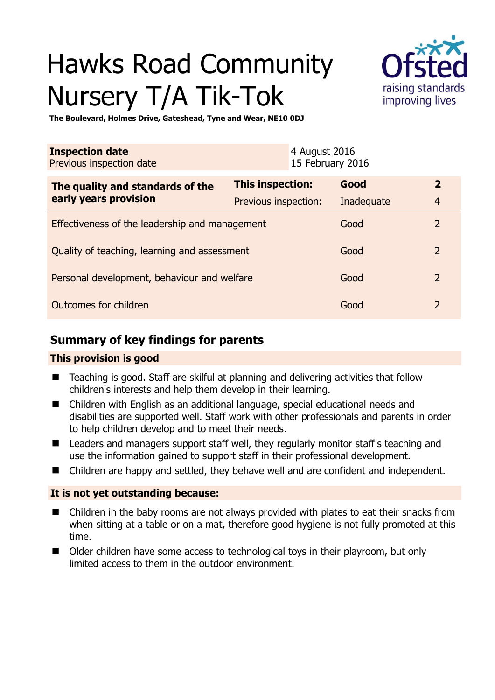# Hawks Road Community Nursery T/A Tik-Tok



**The Boulevard, Holmes Drive, Gateshead, Tyne and Wear, NE10 0DJ** 

| <b>Inspection date</b><br>Previous inspection date        |                      | 4 August 2016<br>15 February 2016 |            |                |
|-----------------------------------------------------------|----------------------|-----------------------------------|------------|----------------|
| The quality and standards of the<br>early years provision | This inspection:     |                                   | Good       | $\overline{2}$ |
|                                                           | Previous inspection: |                                   | Inadequate | $\overline{4}$ |
| Effectiveness of the leadership and management            |                      |                                   | Good       | $\overline{2}$ |
| Quality of teaching, learning and assessment              |                      |                                   | Good       | $\overline{2}$ |
| Personal development, behaviour and welfare               |                      |                                   | Good       | $\overline{2}$ |
| Outcomes for children                                     |                      |                                   | Good       | $\overline{2}$ |

## **Summary of key findings for parents**

## **This provision is good**

- Teaching is good. Staff are skilful at planning and delivering activities that follow children's interests and help them develop in their learning.
- Children with English as an additional language, special educational needs and disabilities are supported well. Staff work with other professionals and parents in order to help children develop and to meet their needs.
- Leaders and managers support staff well, they regularly monitor staff's teaching and use the information gained to support staff in their professional development.
- Children are happy and settled, they behave well and are confident and independent.

## **It is not yet outstanding because:**

- Children in the baby rooms are not always provided with plates to eat their snacks from when sitting at a table or on a mat, therefore good hygiene is not fully promoted at this time.
- Older children have some access to technological toys in their playroom, but only limited access to them in the outdoor environment.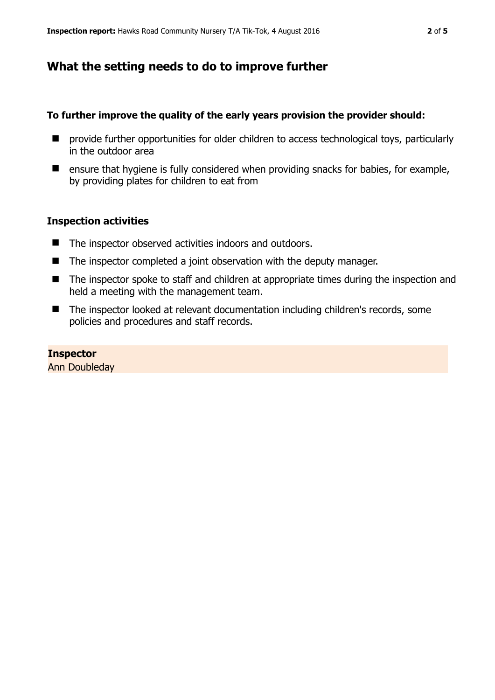## **What the setting needs to do to improve further**

#### **To further improve the quality of the early years provision the provider should:**

- $\blacksquare$  provide further opportunities for older children to access technological toys, particularly in the outdoor area
- $\blacksquare$  ensure that hygiene is fully considered when providing snacks for babies, for example, by providing plates for children to eat from

#### **Inspection activities**

- The inspector observed activities indoors and outdoors.
- The inspector completed a joint observation with the deputy manager.
- The inspector spoke to staff and children at appropriate times during the inspection and held a meeting with the management team.
- The inspector looked at relevant documentation including children's records, some policies and procedures and staff records.

**Inspector**  Ann Doubleday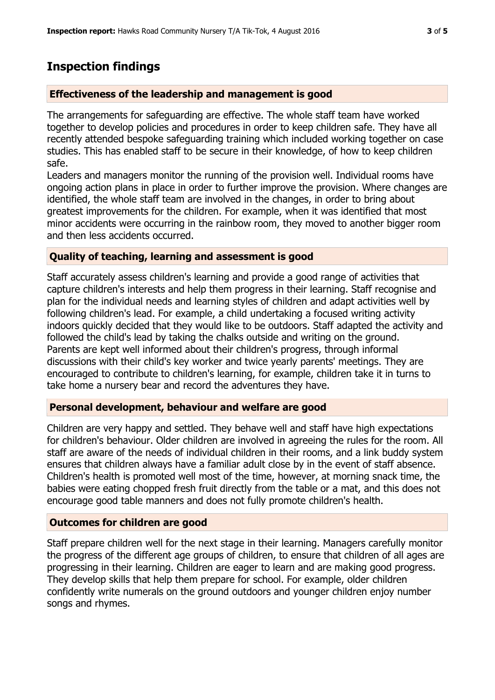## **Inspection findings**

## **Effectiveness of the leadership and management is good**

The arrangements for safeguarding are effective. The whole staff team have worked together to develop policies and procedures in order to keep children safe. They have all recently attended bespoke safeguarding training which included working together on case studies. This has enabled staff to be secure in their knowledge, of how to keep children safe.

Leaders and managers monitor the running of the provision well. Individual rooms have ongoing action plans in place in order to further improve the provision. Where changes are identified, the whole staff team are involved in the changes, in order to bring about greatest improvements for the children. For example, when it was identified that most minor accidents were occurring in the rainbow room, they moved to another bigger room and then less accidents occurred.

## **Quality of teaching, learning and assessment is good**

Staff accurately assess children's learning and provide a good range of activities that capture children's interests and help them progress in their learning. Staff recognise and plan for the individual needs and learning styles of children and adapt activities well by following children's lead. For example, a child undertaking a focused writing activity indoors quickly decided that they would like to be outdoors. Staff adapted the activity and followed the child's lead by taking the chalks outside and writing on the ground. Parents are kept well informed about their children's progress, through informal discussions with their child's key worker and twice yearly parents' meetings. They are encouraged to contribute to children's learning, for example, children take it in turns to take home a nursery bear and record the adventures they have.

## **Personal development, behaviour and welfare are good**

Children are very happy and settled. They behave well and staff have high expectations for children's behaviour. Older children are involved in agreeing the rules for the room. All staff are aware of the needs of individual children in their rooms, and a link buddy system ensures that children always have a familiar adult close by in the event of staff absence. Children's health is promoted well most of the time, however, at morning snack time, the babies were eating chopped fresh fruit directly from the table or a mat, and this does not encourage good table manners and does not fully promote children's health.

## **Outcomes for children are good**

Staff prepare children well for the next stage in their learning. Managers carefully monitor the progress of the different age groups of children, to ensure that children of all ages are progressing in their learning. Children are eager to learn and are making good progress. They develop skills that help them prepare for school. For example, older children confidently write numerals on the ground outdoors and younger children enjoy number songs and rhymes.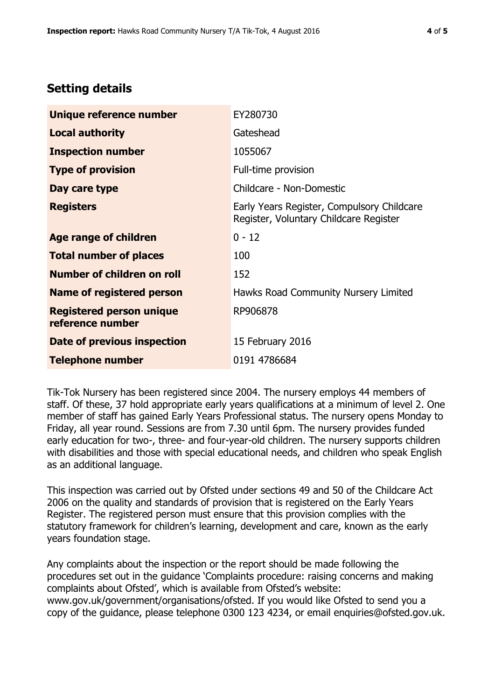## **Setting details**

| Unique reference number                             | EY280730                                                                             |  |
|-----------------------------------------------------|--------------------------------------------------------------------------------------|--|
| <b>Local authority</b>                              | Gateshead                                                                            |  |
| <b>Inspection number</b>                            | 1055067                                                                              |  |
| <b>Type of provision</b>                            | Full-time provision                                                                  |  |
| Day care type                                       | Childcare - Non-Domestic                                                             |  |
| <b>Registers</b>                                    | Early Years Register, Compulsory Childcare<br>Register, Voluntary Childcare Register |  |
| Age range of children                               | $0 - 12$                                                                             |  |
| <b>Total number of places</b>                       | 100                                                                                  |  |
| Number of children on roll                          | 152                                                                                  |  |
| Name of registered person                           | Hawks Road Community Nursery Limited                                                 |  |
| <b>Registered person unique</b><br>reference number | RP906878                                                                             |  |
| Date of previous inspection                         | 15 February 2016                                                                     |  |
| <b>Telephone number</b>                             | 0191 4786684                                                                         |  |

Tik-Tok Nursery has been registered since 2004. The nursery employs 44 members of staff. Of these, 37 hold appropriate early years qualifications at a minimum of level 2. One member of staff has gained Early Years Professional status. The nursery opens Monday to Friday, all year round. Sessions are from 7.30 until 6pm. The nursery provides funded early education for two-, three- and four-year-old children. The nursery supports children with disabilities and those with special educational needs, and children who speak English as an additional language.

This inspection was carried out by Ofsted under sections 49 and 50 of the Childcare Act 2006 on the quality and standards of provision that is registered on the Early Years Register. The registered person must ensure that this provision complies with the statutory framework for children's learning, development and care, known as the early years foundation stage.

Any complaints about the inspection or the report should be made following the procedures set out in the guidance 'Complaints procedure: raising concerns and making complaints about Ofsted', which is available from Ofsted's website: www.gov.uk/government/organisations/ofsted. If you would like Ofsted to send you a copy of the guidance, please telephone 0300 123 4234, or email enquiries@ofsted.gov.uk.